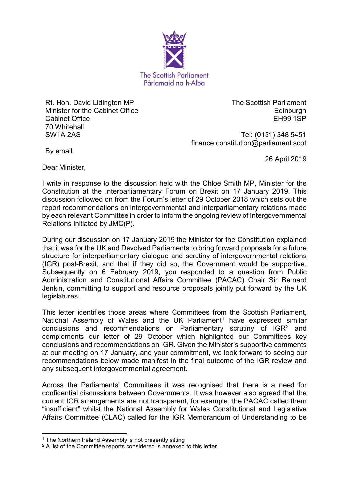

Rt. Hon. David Lidington MP Minister for the Cabinet Office Cabinet Office 70 Whitehall SW1A 2AS

The Scottish Parliament **Edinburgh** EH99 1SP

Tel: (0131) 348 5451 finance.constitution@parliament.scot

By email

26 April 2019

Dear Minister,

I write in response to the discussion held with the Chloe Smith MP, Minister for the Constitution at the Interparliamentary Forum on Brexit on 17 January 2019. This discussion followed on from the Forum's letter of 29 October 2018 which sets out the report recommendations on intergovernmental and interparliamentary relations made by each relevant Committee in order to inform the ongoing review of Intergovernmental Relations initiated by JMC(P).

During our discussion on 17 January 2019 the Minister for the Constitution explained that it was for the UK and Devolved Parliaments to bring forward proposals for a future structure for interparliamentary dialogue and scrutiny of intergovernmental relations (IGR) post-Brexit, and that if they did so, the Government would be supportive. Subsequently on 6 February 2019, you responded to a question from Public Administration and Constitutional Affairs Committee (PACAC) Chair Sir Bernard Jenkin, committing to support and resource proposals jointly put forward by the UK legislatures.

This letter identifies those areas where Committees from the Scottish Parliament, National Assembly of Wales and the UK Parliament<sup>[1](#page-0-0)</sup> have expressed similar conclusions and recommendations on Parliamentary scrutiny of IGR<sup>[2](#page-0-1)</sup> and complements our letter of 29 October which highlighted our Committees key conclusions and recommendations on IGR. Given the Minister's supportive comments at our meeting on 17 January, and your commitment, we look forward to seeing our recommendations below made manifest in the final outcome of the IGR review and any subsequent intergovernmental agreement.

Across the Parliaments' Committees it was recognised that there is a need for confidential discussions between Governments. It was however also agreed that the current IGR arrangements are not transparent, for example, the PACAC called them "insufficient" whilst the National Assembly for Wales Constitutional and Legislative Affairs Committee (CLAC) called for the IGR Memorandum of Understanding to be

**.** 

<span id="page-0-0"></span><sup>&</sup>lt;sup>1</sup> The Northern Ireland Assembly is not presently sitting

<span id="page-0-1"></span><sup>&</sup>lt;sup>2</sup> A list of the Committee reports considered is annexed to this letter.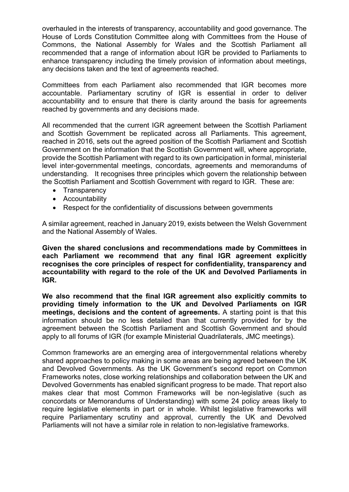overhauled in the interests of transparency, accountability and good governance. The House of Lords Constitution Committee along with Committees from the House of Commons, the National Assembly for Wales and the Scottish Parliament all recommended that a range of information about IGR be provided to Parliaments to enhance transparency including the timely provision of information about meetings, any decisions taken and the text of agreements reached.

Committees from each Parliament also recommended that IGR becomes more accountable. Parliamentary scrutiny of IGR is essential in order to deliver accountability and to ensure that there is clarity around the basis for agreements reached by governments and any decisions made.

All recommended that the current IGR agreement between the Scottish Parliament and Scottish Government be replicated across all Parliaments. This agreement, reached in 2016, sets out the agreed position of the Scottish Parliament and Scottish Government on the information that the Scottish Government will, where appropriate, provide the Scottish Parliament with regard to its own participation in formal, ministerial level inter-governmental meetings, concordats, agreements and memorandums of understanding. It recognises three principles which govern the relationship between the Scottish Parliament and Scottish Government with regard to IGR. These are:

- Transparency
- Accountability
- Respect for the confidentiality of discussions between governments

A similar agreement, reached in January 2019, exists between the Welsh Government and the National Assembly of Wales.

**Given the shared conclusions and recommendations made by Committees in each Parliament we recommend that any final IGR agreement explicitly recognises the core principles of respect for confidentiality, transparency and accountability with regard to the role of the UK and Devolved Parliaments in IGR.**

**We also recommend that the final IGR agreement also explicitly commits to providing timely information to the UK and Devolved Parliaments on IGR meetings, decisions and the content of agreements.** A starting point is that this information should be no less detailed than that currently provided for by the agreement between the Scottish Parliament and Scottish Government and should apply to all forums of IGR (for example Ministerial Quadrilaterals, JMC meetings).

Common frameworks are an emerging area of intergovernmental relations whereby shared approaches to policy making in some areas are being agreed between the UK and Devolved Governments. As the UK Government's second report on Common Frameworks notes, close working relationships and collaboration between the UK and Devolved Governments has enabled significant progress to be made. That report also makes clear that most Common Frameworks will be non-legislative (such as concordats or Memorandums of Understanding) with some 24 policy areas likely to require legislative elements in part or in whole. Whilst legislative frameworks will require Parliamentary scrutiny and approval, currently the UK and Devolved Parliaments will not have a similar role in relation to non-legislative frameworks.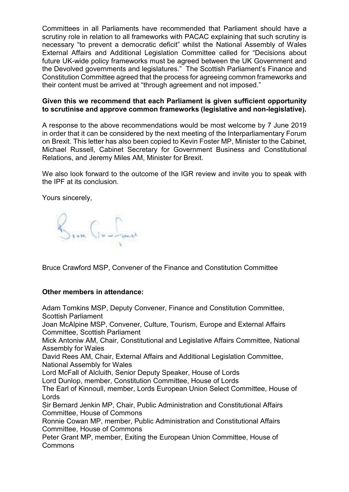Committees in all Parliaments have recommended that Parliament should have a scrutiny role in relation to all frameworks with PACAC explaining that such scrutiny is necessary "to prevent a democratic deficit" whilst the National Assembly of Wales External Affairs and Additional Legislation Committee called for "Decisions about future UK-wide policy frameworks must be agreed between the UK Government and the Devolved governments and legislatures." The Scottish Parliament's Finance and Constitution Committee agreed that the process for agreeing common frameworks and their content must be arrived at "through agreement and not imposed."

## **Given this we recommend that each Parliament is given sufficient opportunity to scrutinise and approve common frameworks (legislative and non-legislative).**

A response to the above recommendations would be most welcome by 7 June 2019 in order that it can be considered by the next meeting of the Interparliamentary Forum on Brexit. This letter has also been copied to Kevin Foster MP, Minister to the Cabinet, Michael Russell, Cabinet Secretary for Government Business and Constitutional Relations, and Jeremy Miles AM, Minister for Brexit.

We also look forward to the outcome of the IGR review and invite you to speak with the IPF at its conclusion.

Yours sincerely,

Brin Ga-San

Bruce Crawford MSP, Convener of the Finance and Constitution Committee

## **Other members in attendance:**

Adam Tomkins MSP, Deputy Convener, Finance and Constitution Committee, Scottish Parliament

Joan McAlpine MSP, Convener, Culture, Tourism, Europe and External Affairs Committee, Scottish Parliament

Mick Antoniw AM, Chair, Constitutional and Legislative Affairs Committee, National Assembly for Wales

David Rees AM, Chair, External Affairs and Additional Legislation Committee, National Assembly for Wales

Lord McFall of Alcluith, Senior Deputy Speaker, House of Lords

Lord Dunlop, member, Constitution Committee, House of Lords

The Earl of Kinnoull, member, Lords European Union Select Committee, House of Lords

Sir Bernard Jenkin MP, Chair, Public Administration and Constitutional Affairs Committee, House of Commons

Ronnie Cowan MP, member, Public Administration and Constitutional Affairs Committee, House of Commons

Peter Grant MP, member, Exiting the European Union Committee, House of Commons